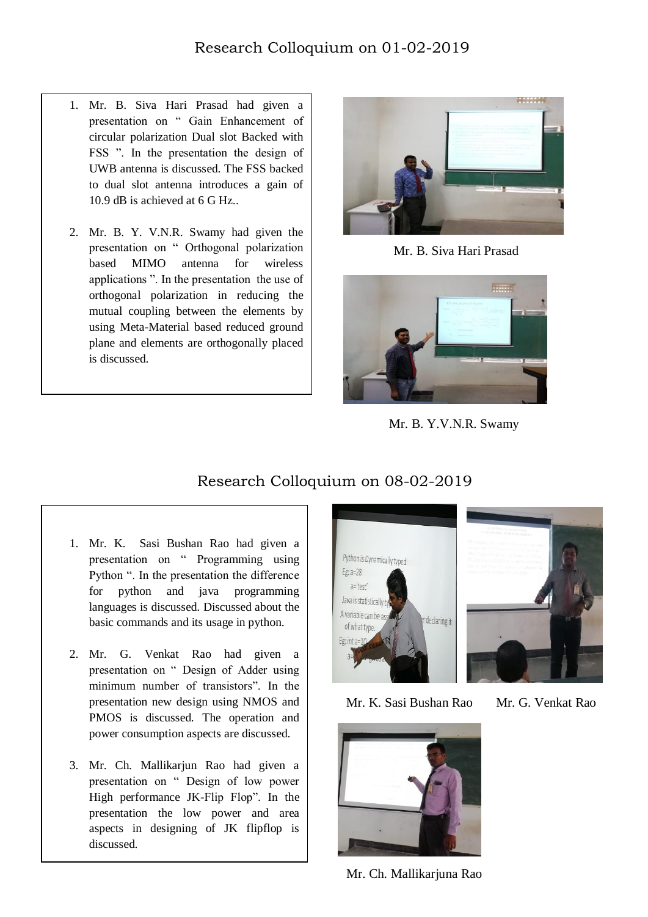- 1. Mr. B. Siva Hari Prasad had given a presentation on " Gain Enhancement of circular polarization Dual slot Backed with FSS ". In the presentation the design of UWB antenna is discussed. The FSS backed to dual slot antenna introduces a gain of 10.9 dB is achieved at 6 G Hz..
- 2. Mr. B. Y. V.N.R. Swamy had given the presentation on " Orthogonal polarization based MIMO antenna for wireless applications ". In the presentation the use of orthogonal polarization in reducing the mutual coupling between the elements by using Meta-Material based reduced ground plane and elements are orthogonally placed is discussed.

I



Mr. B. Siva Hari Prasad



Mr. B. Y.V.N.R. Swamy

## Research Colloquium on 08-02-2019

- 1. Mr. K. Sasi Bushan Rao had given a presentation on " Programming using Python ". In the presentation the difference for python and java programming languages is discussed. Discussed about the basic commands and its usage in python.
- 2. Mr. G. Venkat Rao had given a presentation on " Design of Adder using minimum number of transistors". In the presentation new design using NMOS and PMOS is discussed. The operation and power consumption aspects are discussed.
- 3. Mr. Ch. Mallikarjun Rao had given a presentation on " Design of low power High performance JK-Flip Flop". In the presentation the low power and area aspects in designing of JK flipflop is discussed.





Mr. K. Sasi Bushan Rao Mr. G. Venkat Rao



Mr. Ch. Mallikarjuna Rao